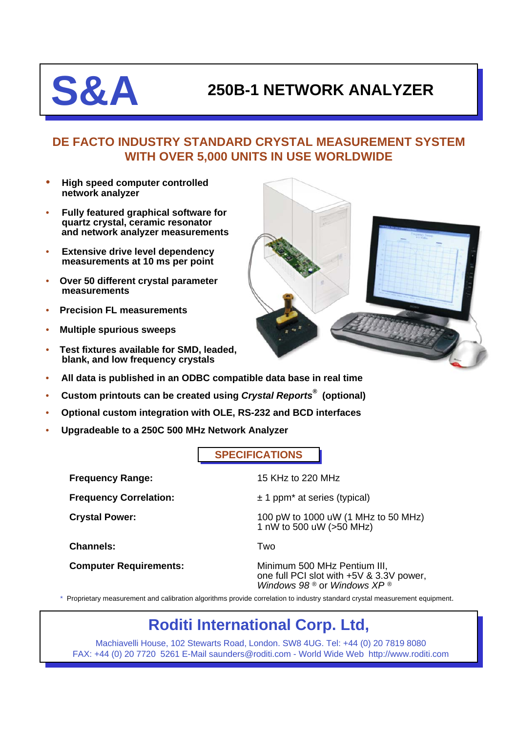# **S&A 250B-1 NETWORK ANALYZER**

## **DE FACTO INDUSTRY STANDARD CRYSTAL MEASUREMENT SYSTEM WITH OVER 5,000 UNITS IN USE WORLDWIDE**

- **High speed computer controlled network analyzer**
- **Fully featured graphical software for quartz crystal, ceramic resonator and network analyzer measurements**
- **Extensive drive level dependency measurements at 10 ms per point**
- **Over 50 different crystal parameter measurements**
- **Precision FL measurements**
- **Multiple spurious sweeps**
- **Test fixtures available for SMD, leaded, blank, and low frequency crystals**



- **All data is published in an ODBC compatible data base in real time**
- **Custom printouts can be created using** *Crystal Reports®* **(optional)**
- **Optional custom integration with OLE, RS-232 and BCD interfaces**
- **Upgradeable to a 250C 500 MHz Network Analyzer**

**SPECIFICATIONS**

**Frequency Range:** 15 KHz to 220 MHz **Frequency Correlation:**  $\pm 1$  ppm<sup>\*</sup> at series (typical) **Crystal Power:** 100 pW to 1000 uW (1 MHz to 50 MHz) 1 nW to 500 uW (>50 MHz) **Channels:** Two **Computer Requirements:** Minimum 500 MHz Pentium III, one full PCI slot with +5V & 3.3V power, *Windows 98 ®* or *Windows XP ®*

\* Proprietary measurement and calibration algorithms provide correlation to industry standard crystal measurement equipment.

## **Roditi International Corp. Ltd,**

Machiavelli House, 102 Stewarts Road, London. SW8 4UG. Tel: +44 (0) 20 7819 8080 FAX: +44 (0) 20 7720 5261 E-Mail saunders@roditi.com - World Wide Web http://www.roditi.com